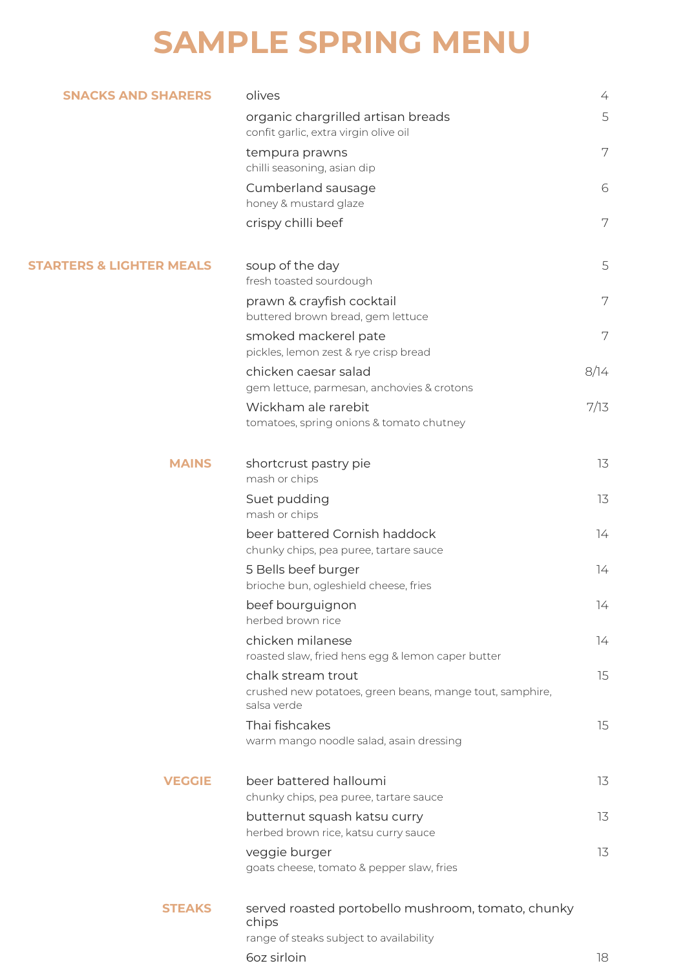## **SAMPLE SPRING MENU**

| <b>SNACKS AND SHARERS</b>           | olives                                                                                                 | 4    |
|-------------------------------------|--------------------------------------------------------------------------------------------------------|------|
|                                     | organic chargrilled artisan breads<br>confit garlic, extra virgin olive oil                            | 5    |
|                                     | tempura prawns<br>chilli seasoning, asian dip                                                          | 7    |
|                                     | Cumberland sausage<br>honey & mustard glaze                                                            | 6    |
|                                     | crispy chilli beef                                                                                     | 7    |
| <b>STARTERS &amp; LIGHTER MEALS</b> | soup of the day<br>fresh toasted sourdough                                                             | 5    |
|                                     | prawn & crayfish cocktail<br>buttered brown bread, gem lettuce                                         | 7    |
|                                     | smoked mackerel pate<br>pickles, lemon zest & rye crisp bread                                          | 7    |
|                                     | chicken caesar salad<br>gem lettuce, parmesan, anchovies & crotons                                     | 8/14 |
|                                     | Wickham ale rarebit                                                                                    | 7/13 |
|                                     | tomatoes, spring onions & tomato chutney                                                               |      |
| <b>MAINS</b>                        | shortcrust pastry pie<br>mash or chips                                                                 | 13   |
|                                     | Suet pudding<br>mash or chips                                                                          | 13   |
|                                     | beer battered Cornish haddock<br>chunky chips, pea puree, tartare sauce                                | 14   |
|                                     | 5 Bells beef burger<br>brioche bun, ogleshield cheese, fries                                           | 74   |
|                                     | beef bourguignon<br>herbed brown rice                                                                  | 14   |
|                                     | chicken milanese<br>roasted slaw, fried hens egg & lemon caper butter                                  | 14   |
|                                     | chalk stream trout<br>crushed new potatoes, green beans, mange tout, samphire,<br>salsa verde          | 15   |
|                                     | Thai fishcakes<br>warm mango noodle salad, asain dressing                                              | 15   |
| <b>VEGGIE</b>                       | beer battered halloumi<br>chunky chips, pea puree, tartare sauce                                       | 13   |
|                                     | butternut squash katsu curry<br>herbed brown rice, katsu curry sauce                                   | 13   |
|                                     | veggie burger<br>goats cheese, tomato & pepper slaw, fries                                             | 13   |
| <b>STEAKS</b>                       | served roasted portobello mushroom, tomato, chunky<br>chips<br>range of steaks subject to availability |      |
|                                     | 6oz sirloin                                                                                            | 18   |